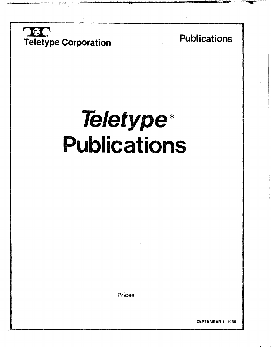

## Publication:

wa kutoka Tangu Malaysia.<br>P !

# Teletype<sup>®</sup> Publications

**Prices** 

SEPTEMBER 1, 1980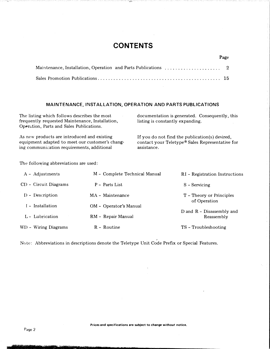### **CONTENTS**

#### MAINTENANCE, INSTALLATION, OPERATION AND PARTS PUBLICATIONS

The listing which follows describes the most frequently requested Maintenance, Installation, Operation, Parts and Sales Publications.

As new products are introduced and existing equipment adapted to meet our customer's changing communication requirements, additional

documentation is generated. Consequently, this listing is constantly expanding.

If you do not find the publication(s) desired, contact your Teletype® Sales Representative for assistance.

The following abbreviations are used:

| A - Adjustments       | M - Complete Technical Manual | RI - Registration Instructions            |
|-----------------------|-------------------------------|-------------------------------------------|
| CD - Circuit Diagrams | P – Parts List                | S - Servicing                             |
| $D$ - Description     | MA - Maintenance              | T - Theory or Principles<br>of Operation  |
| I – Installation      | OM - Operator's Manual        |                                           |
| L - Lubrication       | RM - Repair Manual            | D and $R$ – Disassembly and<br>Reassembly |
| WD - Wiring Diagrams  | $R -$ Routine                 | TS - Troubleshooting                      |

Note: Abbreviations in descriptions denote the Teletype Unit Code Prefix or Special Features.

·rrelationship of the control of the control of the control of the control of the control of the control of th<br>The control of the control of the control of the control of the control of the control of the control of the c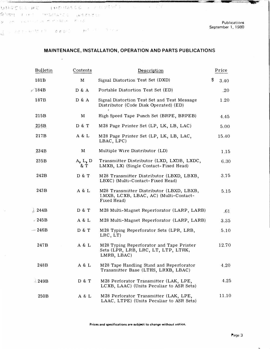respective explorer and protect  $\mathcal{Y} = \varnothing \mathcal{D}$  , and the set of the set of  $\mathcal{P}$  is the set of  $\mathcal{P}$  $\frac{1}{\sqrt{2}}$  in the first state of  $\theta$  is  $\theta$  in  $\theta$  in the  $\theta$  in  $\frac{1}{\sqrt{2}}$  in the set of  $\theta$  is a set of  $\theta$  is a set of  $\theta$ 

the the theorem is the the the the the the the theorem is the theorem in the the the the the the the the theorem is the theorem is the theorem is the theorem is the theorem is the theorem is the theorem is the theorem is t

 $\mathcal{L}$ 

Publications September 1, 1980

-�·· . \_\_ .\_\_,.,., ..... ...,..

#### MAINTENANCE, INSTALLATION, OPERATION AND PARTS PUBLICATIONS

-��- --�-��--

 $\mathbf{v} = \mathbf{v} \mathbf{v}$ 

| Bulletin           | Contents       | Description                                                                                      | Price      |
|--------------------|----------------|--------------------------------------------------------------------------------------------------|------------|
| 181B               | M              | Signal Distortion Test Set (DXD)                                                                 | \$<br>3.40 |
| r∕184B             | D & A          | Portable Distortion Test Set (ED)                                                                | .20        |
| 187B               | D & A          | Signal Distortion Test Set and Test Message<br>Distributor (Code Disk Operated) (ED)             | 1.20       |
| 215B               | M              | High Speed Tape Punch Set (BRPE, BRPEB)                                                          | 4.45       |
| 216B               | D & T          | M28 Page Printer Set (LP, LK, LB, LAC)                                                           | 5.00       |
| 217B               | A & L          | M28 Page Printer Set (LP, LK, LB, LAC,<br>LBAC, LPC)                                             | 15.40      |
| 234B               | M              | Multiple Wire Distributor (LD)                                                                   | 1.15       |
| 235B               | A, L, D<br>& T | Transmitter Distributor (LXD, LXDB, LXDC,<br>LMXB, LX) (Single Contact-Fixed Head)               | 6.30       |
| 242B               | D & T          | M28 Transmitter Distributor (LBXD, LBXB,<br>LBXC) (Multi-Contact-Fixed Head)                     | 3.75       |
| 243 B              | A & L          | M28 Transmitter Distributor (LBXD, LBXB,<br>LMXB, LCXB, LBAC, AC) (Multi-Contact-<br>Fixed Head) | 5.15       |
| $\frac{1}{6}$ 244B | D & T          | M28 Multi-Magnet Reperforator (LARP, LARB)                                                       | .61        |
| $\approx 245B$     | A & L          | M28 Multi-Magnet Reperforator (LARP, LARB)                                                       | 3.35       |
| $-246B$            | D & T          | M28 Typing Reperforator Sets (LPR, LRB,<br>LRC, LT                                               | 5.10       |
| 247B               | A & L          | M28 Typing Reperforator and Tape Printer<br>Sets (LPR, LRB, LRC, LT, LTP, LTRK,<br>LMRB, LBAC)   | 12.70      |
| 248B               | A & L          | M28 Tape Handling Stand and Reperforator<br>Transmitter Base (LTHS, LRXB, LBAC)                  | 4.20       |
| <b>&amp; 249B</b>  | D & T          | M28 Perforator Transmitter (LAK, LPE,<br>LCXB, LAAC) (Units Peculiar to ASR Sets)                | 4.25       |
| 250 <sub>B</sub>   | A & L          | M28 Perforator Transmitter (LAK, LPE,<br>LAAC, LTPE) (Units Peculiar to ASR Sets)                | 11.10      |

Prices and specifications are subject to change without notice.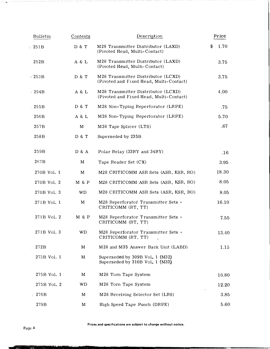| Bulletin                   | Contents    | Description                                                                   | Price      |
|----------------------------|-------------|-------------------------------------------------------------------------------|------------|
| $\mathscr{C}251\mathrm{B}$ | D & T       | M28 Transmitter Distributor (LAXD)<br>(Pivoted Head, Multi-Contact)           | \$<br>1.70 |
| 252B                       | A & L       | M28 Transmitter Distributor (LAXD)<br>(Pivoted Head, Multi-Contact)           | 3.75       |
| $V$ 253B                   | D & T       | M28 Transmitter Distributor (LCXD)<br>(Pivoted and Fixed Head, Multi-Contact) | 3.75       |
| $\approx 254B$             | A & L       | M28 Transmitter Distributor (LCXD)<br>(Pivoted and Fixed Head, Multi-Contact) | 4.00       |
| $\geq 255B$                | D & T       | M28 Non-Typing Reperforator (LRPE)                                            | .75        |
| 256B                       | A & L       | M28 Non-Typing Reperforator (LRPE)                                            | 5.70       |
| 257B                       | M           | M28 Tape Splicer (LTS)                                                        | .67        |
| 258B                       | D & T       | Superseded by 235B                                                            |            |
| 259B                       | D & A       | Polar Relay (33RY and 34RY)                                                   | $.16\,$    |
| 267B                       | M           | Tape Reader Set (CX)                                                          | 3.95       |
| 270B Vol. 1                | M           | M28 CRITICOMM ASR Sets (ASR, KSR, RO)                                         | 18.30      |
| 270B Vol. 2                | M & P       | M28 CRITICOMM ASR Sets (ASR, KSR, RO)                                         | 8.05       |
| 270B Vol. 3                | <b>WD</b>   | M28 CRITICOMM ASR Sets (ASR, KSR, RO)                                         | 8.05       |
| 271B Vol. 1                | M           | M28 Reperforator Transmitter Sets -<br>CRITICOMM (RT, TT)                     | 16.10      |
| 271B Vol. 2                | M & P       | M28 Reperforator Transmitter Sets -<br>CRITICOMM (RT, TT)                     | 7.55       |
| 271B Vol. 3                | WD          | M28 Reperforator Transmitter Sets -<br>CRITICOMM (RT, TT)                     | 13.40      |
| 272B                       | $\mathbf M$ | M28 and M35 Answer Back Unit (LABD)                                           | 1.15       |
| 273B Vol. 1                | M           | Superseded by 309B Vol. 1 (M32)<br>Superseded by 310B Vol. 1 (M33)            |            |
| 275B Vol. 1                | M           | M28 Torn Tape System                                                          | 16.80      |
| 275B Vol. 2                | <b>WD</b>   | M28 Torn Tape System                                                          | 12.20      |
| 4276B                      | M           | M28 Receiving Selector Set (LRS)                                              | 3.85       |
| 279B                       | M           | High Speed Tape Punch (DRPE)                                                  | 5.60       |

Prices and specifications are subject to change without notice.

 $\mathcal{L}_\mathcal{L}$  , and  $\mathcal{L}_\mathcal{L}$  is the state of  $\mathcal{L}_\mathcal{L}$  , and  $\mathcal{L}_\mathcal{L}$  , and  $\mathcal{L}_\mathcal{L}$  , and  $\mathcal{L}_\mathcal{L}$  , and  $\mathcal{L}_\mathcal{L}$  , and  $\mathcal{L}_\mathcal{L}$  , and  $\mathcal{L}_\mathcal{L}$  , and  $\mathcal{L}_\mathcal{L}$  , and

Ÿ.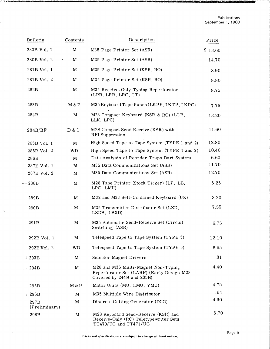| Bulletin              | Contents    | Description                                                                                                   | Price   |
|-----------------------|-------------|---------------------------------------------------------------------------------------------------------------|---------|
| 280B Vol. 1           | M           | M35 Page Printer Set (ASR)                                                                                    | \$13.60 |
| 280B Vol. 2           | М           | M35 Page Printer Set (ASR)                                                                                    | 14.70   |
| 281B Vol. 1           | M           | M35 Page Printer Set (KSR, RO)                                                                                | 8.90    |
| 281B Vol. 2           | М           | M35 Page Printer Set (KSR, RO)                                                                                | 8.80    |
| 282B                  | M           | M35 Receive-Only Typing Reperforator<br>(LPR, LRB, LRC, LT)                                                   | 8.75    |
| 283B                  | M & P       | M35 Keyboard Tape Punch (LKPE, LKTP, LKPC)                                                                    | 7.75    |
| 284B                  | M           | M28 Compact Keyboard (KSR & RO) (LLB,<br>LLK, LPC)                                                            | 13.20   |
| 284B/RF               | D & I       | M28 Compact Send Receive (KSR) with<br>RFI Suppression                                                        | 11.60   |
| 285B Vol. 1           | M           | High Speed Tape to Tape System (TYPE 1 and 2)                                                                 | 12.80   |
| 285B Vol. 2           | <b>WD</b>   | High Speed Tape to Tape System (TYPE 1 and 2)                                                                 | 10.40   |
| 286B                  | M           | Data Analysis of Reorder Traps Dart System                                                                    | 6.60    |
| 287B Vol. 1           | M           | M35 Data Communications Set (ASR)                                                                             | 11.70   |
| 287B Vol. 2           | М           | M35 Data Communications Set (ASR)                                                                             | 12.70   |
| $-288B$               | M           | M28 Tape Printer (Stock Ticker) (LP, LB,<br>LPC, LMU)                                                         | 5.25    |
| 289B                  | M           | M32 and M33 Self-Contained Keyboard (UK)                                                                      | 3.20    |
| 290B                  | M           | M35 Transmitter Distributor Set (LXD,<br>LXDB, LBXD)                                                          | 7.55    |
| 291B                  | M           | M35 Automatic Send-Receive Set (Circuit<br>Switching) (ASR)                                                   | 6.75    |
| 292B Vol. 1           | M           | Telespeed Tape to Tape System (TYPE 5)                                                                        | 12.10   |
| 292B Vol. 2           | WD          | Telespeed Tape to Tape System (TYPE 5)                                                                        | 6.95    |
| $\frac{1}{2}$ 293B    | M           | Selector Magnet Drivers                                                                                       | .81     |
| 294B                  | M           | M28 and M35 Multi-Magnet Non-Typing<br>Reperforator Set (LARP) (Early Design M28<br>Covered by 244B and 235B) | 4.40    |
| 295B                  | M & P       | Motor Units (MU, LMU, YMU)                                                                                    | 4.75    |
| $\approx 296B$        | M           | M35 Multiple Wire Distributor                                                                                 | .64     |
| 297B<br>(Preliminary) | M           | Discrete Calling Generator (DCG)                                                                              | 4.90    |
| 298B                  | $\mathbf M$ | M28 Keyboard Send-Receive (KSR) and<br>Receive-Only (RO) Teletypewriter Sets<br>TT470/UG and TT471/UG         | 5.70    |

 $\mathcal{L}_{\mathbf{z}}$ 

J.

\_\_\_ . c�----"��---·-- -�· ----�--c"····--'-�-�c-..-..------------,\_ \_ \_. \_\_\_\_\_\_\_\_\_\_\_ ..., \_\_\_\_\_\_\_\_\_\_ .....,,.,.....,\_....,...., \_,-.,.-..

 $\hat{\boldsymbol{\beta}}$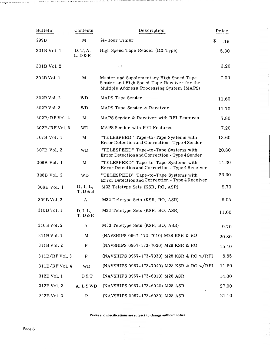| Bulletin         | Contents             | Description                                                                                                                          | Price          |
|------------------|----------------------|--------------------------------------------------------------------------------------------------------------------------------------|----------------|
| 299B             | M                    | 24-Hour Timer                                                                                                                        | \$<br>.19      |
| 301B Vol. 1      | D, T, A,<br>L, D & R | High Speed Tape Reader (DX Type)                                                                                                     | 5.30           |
| 301B Vol. 2      |                      |                                                                                                                                      | 3.20           |
| 302B Vol. 1      | M                    | Master and Supplementary High Speed Tape<br>Sender and High Speed Tape Receiver for the<br>Multiple Address Processing System (MAPS) | 7.00           |
| 302B Vol. 2      | <b>WD</b>            | MAPS Tape Sender                                                                                                                     | 11.60          |
| 302B Vol. 3      | <b>WD</b>            | MAPS Tape Sender & Receiver                                                                                                          | 11.70          |
| $302B/RF$ Vol. 4 | M                    | MAPS Sender & Receiver with RFI Features                                                                                             | 7.80           |
| $302B/RF$ Vol. 5 | <b>WD</b>            | MAPS Sender with RFI Features                                                                                                        | 7.20           |
| 307B Vol. 1      | M                    | "TELESPEED" Tape-to-Tape Systems with<br>Error Detection and Correction - Type 4 Sender                                              | 13.60          |
| 307B Vol. 2      | <b>WD</b>            | "TELESPEED" Tape-to-Tape Systems with<br>Error Detection and Correction - Type 4 Sender                                              | 20.80          |
| 308B Vol. 1      | M                    | "TELESPEED" Tape-to-Tape Systems with<br>Error Detection and Correction - Type 4 Receiver                                            | 14.30          |
| 308B Vol. 2      | <b>WD</b>            | "TELESPEED" Tape-to-Tape Systems with<br>Error Detection and Correction - Type 4 Receiver                                            | 23.30          |
| 309B Vol. 1      | D, I, L,<br>T, D & R | M32 Teletype Sets (KSR, RO, ASR)                                                                                                     | $9.70^{\circ}$ |
| 309B Vol. 2      | A                    | M32 Teletype Sets (KSR, RO, ASR)                                                                                                     | 9.05           |
| 310 B Vol. 1     | D, I, L,<br>T, D & R | M33 Teletype Sets (KSR, RO, ASR)                                                                                                     | 11.00          |
| 310 B Vol. 2     |                      | M33 Teletype Sets (KSR, RO, ASR)                                                                                                     | 9.70           |
| 311B Vol. 1      | $\mathbf M$          | (NAVSHIPS 0967-173-7010) M28 KSR & RO                                                                                                | 20.80          |
| 311B Vol. 2      | P                    | (NAVSHIPS 0967-173-7020) M28 KSR & RO                                                                                                | 15.40          |
| $311B/RF$ Vol. 3 | P                    | (NAVSHIPS 0967-173-7030) M28 KSR & RO w/RFI                                                                                          | 8.85           |
| $311B/RF$ Vol. 4 | <b>WD</b>            | (NAVSHIPS 0967-173-7040) M28 KSR & RO w/RFI                                                                                          | 11.60          |
| 312B Vol. 1      | D & T                | (NAVSHIPS 0967-173-6010) M28 ASR                                                                                                     | 14.00          |
| 312B Vol. 2      | A. L & WD            | (NAVSHIPS 0967-173-6020) M28 ASR                                                                                                     | 27.00          |
| 312B Vol. 3      | P                    | (NAVSHIPS 0967-173-6030) M28 ASR                                                                                                     | 21.10          |

,;\_i�:...O:SA.l,· '<•'y;·A, -�-

 $\vdots$ 

Prices and specifications are subject to change without notice.

 $\sim$ 

--

 $\mathcal{C}$ y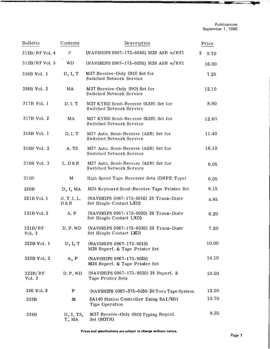| <b>Bulletin</b>   | Contents             | Description                                                         | Price     |
|-------------------|----------------------|---------------------------------------------------------------------|-----------|
| $312B/RF$ Vol. 4  | ${\rm P}$            | (NAVSHIPS 0967-173-6040) M28 ASR w/RFI                              | S<br>9.70 |
| 312B/RF Vol. 5    | WD                   | (NAVSHIPS 0967-173-6050) M28 ASR w/RFI                              | 16.00     |
| 316B Vol. 1       | D, I, T              | M37 Receive-Only (RO) Set for<br>Switched Network Service           | 7.25      |
| 316B Vol. 2       | MA                   | M37 Receive-Only (RO) Set for<br>Switched Network Service           | 12.10     |
| 317B Vol. 1       | D, I, T              | M37 KYBD Send-Receive (KSR) Set for<br>Switched Network Service     | 8.90      |
| 317B Vol. 2       | MA                   | M37 KYBD Send-Receive (KSR) Set for<br>Switched Network Service     | 12.80     |
| 318B Vol. 1       | D, I, T              | M37 Auto. Send-Receive (ASR) Set for<br>Switched Network Service    | 11.40     |
| 318B Vol. 2       | A, TS                | M37 Auto. Send-Receive (ASR) Set for<br>Switched Network Service    | 16.10     |
| 318B Vol. 3       | L, D & R             | M37 Auto. Send-Receive (ASR) Set for<br>Switched Network Service    | 8.05      |
| 319B              | M                    | High Speed Tape Receiver Sets (DRPE Type)                           | 8.05      |
| 320 <sub>B</sub>  | D, I, MA             | M35 Keyboard Send-Receive Tape Printer Set                          | 8.15      |
| 321B Vol. 1       | D, T, I, L,<br>D & R | (NAVSHIPS 0967-173-8010) 28 Trans-Distr<br>Set (Single Contact LXD) | 4.85      |
| 321B Vol. 2       | A, P                 | (NAVSHIPS 0967-173-8020) 28 Trans-Distr<br>Set (Single Contact LXD) | 6.20      |
| 321B/RF<br>Vol. 3 | D, P, WD             | (NAVSHIPS 0967-173-8030) 28 Trans-Distr<br>Set (Single Contact LXD) | 7.20      |
| 322B Vol. 1       | D, I, T              | (NAVSHIPS 0967-173-9010)<br>M28 Reperf. & Tape Printer Set          | 10.00     |
| 322B Vol. 2       | A, P                 | (NAVSHIPS 0967-173-9020)<br>M28 Reperf. & Tape Printer Set          | 14.10     |
| 322B/RF<br>Vol. 3 | D, P, WD             | (NAVSHIPS 0967-173-9030) 28 Reperf. &<br>Tape Printer Sets          | 10.50     |
| 326 Vol. 3        | P                    | (NAVSHIPS 0967-375-6030) 28 Torn Tape System                        | 12.20     |
| 333B              | M                    | SA140 Station Controller Using 8A1/8B1<br>Type Operation            | 10.70     |
| 334B              | D, I, TS,<br>T, MA   | M37 Receive-Only (RO) Typing Reperf.<br>Set (ROTR)                  | 8.35      |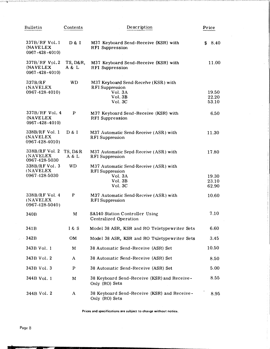| Bulletin                                          | Contents                    | Description                                                                                      | Price                   |
|---------------------------------------------------|-----------------------------|--------------------------------------------------------------------------------------------------|-------------------------|
| 337B/RF Vol. 1<br>(NAVELEX<br>$0967 - 428 - 4010$ | D & I                       | M37 Keyboard Send-Receive (KSR) with<br><b>RFI Suppression</b>                                   | 8.40<br>\$              |
| 337B/RF Vol.2<br>(NAVELEX<br>$0967 - 428 - 4010$  | TS, D&R,<br>A & L           | M37 Keyboard Send-Receive (KSR) with<br><b>RFI Suppression</b>                                   | 11.00                   |
| 337B/RF<br>(NAVELEX<br>0967-428-4010)             | WD                          | M37 Keyboard Send-Receive (KSR) with<br><b>RFI</b> Suppression<br>Vol. 3A<br>Vol. 3B<br>Vol. 3C  | 19.50<br>22.20<br>53.10 |
| 337B/RF Vol. 4<br>(NAVELEX<br>$0967 - 428 - 4010$ | $\mathbf{P}$                | M37 Keyboard Send-Receive (KSR) with<br><b>RFI Suppression</b>                                   | 6.50                    |
| 338B/RF Vol. 1<br>(NAVELEX<br>0967-428-4010)      | D & I                       | M37 Automatic Send-Receive (ASR) with<br><b>RFI</b> Suppression                                  | 11.30                   |
| 338B/RF Vol. 2<br>(NAVELEX<br>0967-428-5030       | <b>TS, D&amp;R</b><br>A & L | M37 Automatic Send-Receive (ASR) with<br><b>RFI</b> Suppression                                  | 17.80                   |
| 338B/RF Vol. 3<br>(NAVELEX)<br>0967-428-5030      | WD.                         | M37 Automatic Send-Receive (ASR) with<br><b>RFI</b> Suppression<br>Vol. 3A<br>Vol. 3B<br>Vol. 3C | 19.30<br>23.10<br>62.90 |
| 338B/RF Vol. 4<br>(NAVELEX)<br>0967-428-5040)     | P                           | M37 Automatic Send-Receive (ASR) with<br><b>RFI</b> Suppression                                  | 10.60                   |
| 340 <sub>B</sub>                                  | M                           | <b>SA140 Station Controller Using</b><br><b>Centralized Operation</b>                            | 7.10                    |
| 341 <sub>B</sub>                                  | 1 & S                       | Model 38 ASR, KSR and RO Teletypewriter Sets                                                     | 6.60                    |
| 342B                                              | <b>OM</b>                   | Model 38 ASR, KSR and RO Teletypewriter Sets                                                     | 3.45                    |
| 343B Vol. 1                                       | M                           | 38 Automatic Send-Receive (ASR) Set                                                              | 10.50                   |
| 343B Vol. 2                                       | A                           | 38 Automatic Send-Receive (ASR) Set                                                              | 8.50                    |
| 343B Vol. 3                                       | $\mathbf P$                 | 38 Automatic Send-Receive (ASR) Set                                                              | 5.00                    |
| 344B Vol. 1                                       | M                           | 38 Keyboard Send-Receive (KSR) and Receive-<br>Only (RO) Sets                                    | 8.55                    |
| 344B Vol. 2                                       | A                           | 38 Keyboard Send-Receive (KSR) and Receive-<br>Only (RO) Sets                                    | 8.95                    |

Prices and specifications are subject to change without notice.

lllllate and the second and the second and the second and the second and the second and the second of the second of the second of the second of the second of the second of the second of the second of the second of the seco

,<.,.:'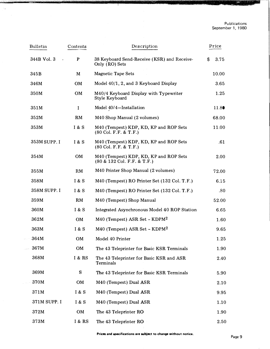國

W

| Bulletin                 | Contents         | Description                                                                       | Price      |
|--------------------------|------------------|-----------------------------------------------------------------------------------|------------|
| 344B Vol. 3<br>$\bullet$ | P                | 38 Keyboard Send-Receive (KSR) and Receive-<br>Only (RO) Sets                     | \$<br>3.75 |
| 345B                     | M                | <b>Magnetic Tape Sets</b>                                                         | 10.00      |
| 346M                     | OM               | Model 40/1, 2, and 3 Keyboard Display                                             | 3.65       |
| 350M                     | OM               | M40/4 Keyboard Display with Typewriter<br>Style Keyboard                          | 1.25       |
| 351M                     | $\mathbf I$      | Model 40/4-Installation                                                           | 11.80      |
| 352M                     | RM               | M40 Shop Manual (2 volumes)                                                       | 68.00      |
| 353M                     | I & S            | M40 (Tempest) KDP, KD, KP and ROP Sets<br>$(80 \text{ Col. F.F. & T.F.)}$         | 11.00      |
| 353M SUPP. I             | I & S            | M40 (Tempest) KDP, KD, KP and ROP Sets<br>$(80 \text{ Col. F.F. & T.F.)}$         | .61        |
| 354M                     | OM               | M40 (Tempest) KDP, KD, KP and ROP Sets<br>$(80 \& 132 \text{ Col. F.F.} \& T.F.)$ | 2.00       |
| 355M                     | RM               | M40 Printer Shop Manual (2 volumes)                                               | 72.00      |
| 358M                     | <b>I</b> & S     | M40 (Tempest) RO Printer Set (132 Col. T.F.)                                      | 6.15       |
| 358M SUPP. I             | I & S            | M40 (Tempest) RO Printer Set (132 Col. T.F.)                                      | .80        |
| 359M                     | RM               | M40 (Tempest) Shop Manual                                                         | 52.00      |
| 360M                     | <b>1 &amp; S</b> | Integrated Asynchronous Model 40 ROP Station                                      | 6.65       |
| 362M                     | OM               | M40 (Tempest) ASR Set - KDPM <sup>2</sup>                                         | 1.60       |
| 363M                     | <b>1 &amp; S</b> | M40 (Tempest) ASR Set - KDPM <sup>2</sup>                                         | 9.65       |
| 364M                     | OM               | Model 40 Printer                                                                  | 1.25       |
| 367M                     | OM               | The 43 Teleprinter for Basic KSR Terminals                                        | 1.90       |
| 368M                     | I & RS           | The 43 Teleprinter for Basic KSR and ASR<br>Terminals                             | 2.40       |
| 369M                     | S                | The 43 Teleprinter for Basic KSR Terminals                                        | 5.90       |
| 370M                     | OM               | M40 (Tempest) Dual ASR                                                            | 2.10       |
| 371M                     | I & S            | M40 (Tempest) Dual ASR                                                            | 9.95       |
| 371M SUPP. I             | I & S            | M40 (Tempest) Dual ASR                                                            | 1.10       |
| 372M                     | OM               | The 43 Teleprinter RO                                                             | 1.90       |
| 373M                     | I & RS           | The 43 Teleprinter RO                                                             | 2.50       |

÷.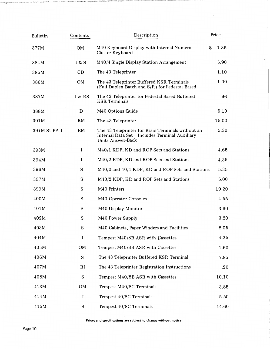| <b>Bulletin</b> | Contents    | Description                                                                                                               | Price      |
|-----------------|-------------|---------------------------------------------------------------------------------------------------------------------------|------------|
| 377M            | OM          | M40 Keyboard Display with Internal Numeric<br>Cluster Keyboard                                                            | 1.35<br>\$ |
| 384M            | I & S       | M40/4 Single Display Station Arrangement                                                                                  | 5.90       |
| 385M            | CD          | The 43 Teleprinter                                                                                                        | 1.10       |
| 386M            | OM          | The 43 Teleprinter Buffered KSR Terminals<br>(Full Duplex Batch and S/R) for Pedestal Based                               | 1.00       |
| 387M            | I & RS      | The 43 Teleprinter for Pedestal Based Buffered<br><b>KSR</b> Terminals                                                    | .96        |
| 388M            | D           | M40 Options Guide                                                                                                         | 5.10       |
| 391M            | RM          | The 43 Teleprinter                                                                                                        | 15.00      |
| 391M SUPP. I    | <b>RM</b>   | The 43 Teleprinter for Basic Terminals without an<br>Internal Data Set - Includes Terminal Auxiliary<br>Units Answer-Back | 5.30       |
| 393M            | $\mathbf I$ | M40/1 KDP, KD and ROP Sets and Stations                                                                                   | 4.65       |
| 394M            | I           | M40/2 KDP, KD and ROP Sets and Stations                                                                                   | 4.35       |
| 396M            | S           | M40/0 and 40/1 KDP, KD and ROP Sets and Stations                                                                          | 5.35       |
| 397M            | ${\bf S}$   | M40/2 KDP, KD and ROP Sets and Stations                                                                                   | 5.00       |
| 399M            | S           | M40 Printers                                                                                                              | 19.20      |
| 400M            | S           | M40 Operator Consoles                                                                                                     | 4.55       |
| 401M            | S           | M40 Display Monitor                                                                                                       | 3.60       |
| 402M            | S           | M40 Power Supply                                                                                                          | 3.20       |
| 403M            | $\mathbf S$ | M40 Cabinets, Paper Winders and Facilities                                                                                | 8.05       |
| 404M            | $\bf{I}$    | Tempest M40/8B ASR with Cassettes                                                                                         | 4.25       |
| 405M            | OM          | Tempest M40/8B ASR with Cassettes                                                                                         | 1.60       |
| 406M            | ${\bf S}$   | The 43 Teleprinter Buffered KSR Terminal                                                                                  | 7.85       |
| 407M            | RI          | The 43 Teleprinter Registration Instructions                                                                              | $.20\,$    |
| 408M            | S           | Tempest M40/8B ASR with Cassettes                                                                                         | 10.10      |
| 413M            | OM          | Tempest M40/8C Terminals                                                                                                  | 3.85       |
| 414M            | I           | Tempest 40/8C Terminals                                                                                                   | 5.50       |
| 415M            | S           | Tempest 40/8C Terminals                                                                                                   | 14.60      |

 $\frac{1}{2}$ 

 $\frac{1}{2}$  . The compact of the set of  $\mathcal{O}(\mathbb{R}^2)$ 

Prices and specifications are subject to change without notice.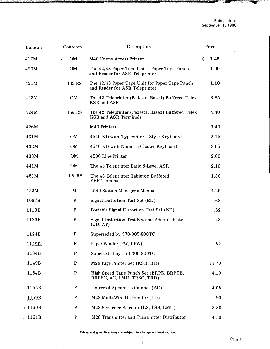| <b>Bulletin</b> | Contents     | Description                                                                        | Price      |
|-----------------|--------------|------------------------------------------------------------------------------------|------------|
| 417M            | <b>OM</b>    | M40 Forms Access Printer                                                           | \$<br>1.45 |
| 420M            | <b>OM</b>    | The 42/43 Paper Tape Unit - Paper Tape Punch<br>and Reader for ASR Teleprinter     | 1.90       |
| 421M            | I & RS       | The 42/43 Paper Tape Unit for Paper Tape Punch<br>and Reader for ASR Teleprinter   | 1.10       |
| 423M            | <b>OM</b>    | The 42 Teleprinter (Pedestal Based) Buffered Telex<br>KSR and ASR                  | 3.85       |
| 424M            | I & RS       | The 42 Teleprinter (Pedestal Based) Buffered Telex<br><b>KSR</b> and ASR Terminals | 4.40       |
| 426M            | I            | M40 Printers                                                                       | 3.40       |
| 431M            | <b>OM</b>    | 4540 KD with Typewriter - Style Keyboard                                           | 2.15       |
| 432M            | <b>OM</b>    | 4540 KD with Numeric Cluster Keyboard                                              | 3.05       |
| 433M            | <b>OM</b>    | 4500 Line-Printer                                                                  | 2.60       |
| 441M            | OM           | The 43 Teleprinter Basic 8-Level ASR                                               | 2.10       |
| 451M            | I & RS       | The 43 Teleprinter Tabletop Buffered<br><b>KSR</b> Terminal                        | 1.30       |
| 452M            | M            | 4540 Station Manager's Manual                                                      | 4.25       |
| 1087B           | ${\bf P}$    | Signal Distortion Test Set (ED)                                                    | .68        |
| 1113B           | P            | Portable Signal Distortion Test Set (ED)                                           | .52        |
| 1123B           | $\mathbf{P}$ | Signal Distortion Test Set and Adapter Plate<br>(ED, AP)                           | .48        |
| 1124B           | P            | Superseded by 570-005-800TC                                                        |            |
| 1129B           | P            | Paper Winder (PW, LPW)                                                             | .52        |
| 1134B           | $\mathbf{P}$ | Superseded by 570-300-800TC                                                        |            |
| 1149B           | P            | M28 Page Printer Set (KSR, RO)                                                     | 14.70      |
| 1154B           | P            | High Speed Tape Punch Set (BRPE, BRPEB,<br>BRPEC, AC, LMU, TRSC, TRD)              | 4.10       |
| 1155B           | $\mathbf{P}$ | Universal Apparatus Cabinet (AC)                                                   | 4.05       |
| 1159B           | P            | M28 Multi-Wire Distributor (LD)                                                    | .90        |
| /1160B          | $\mathbf P$  | M28 Sequence Selector (LS, LSB, LMU)                                               | 3.30       |
| $-1161B$        | P            | M28 Transmitter and Transmitter Distributor                                        | 4.50       |

 $\overline{a}$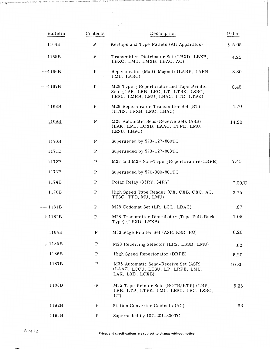| Bulletin               | Contents     | Description                                                                                                           | Price  |
|------------------------|--------------|-----------------------------------------------------------------------------------------------------------------------|--------|
| 1164B                  | $\mathbf{P}$ | Keytops and Type Pallets (All Apparatus)                                                                              | \$5.05 |
| 1165B                  | $\mathbf P$  | Transmitter Distributor Set (LBXD, LBXB,<br>LBXC, LMU, LMXB, LBAC, AC)                                                | 4.25   |
| $-1166B$               | $\mathbf P$  | Reperforator (Multi-Magnet) (LARP, LARB,<br>LMU, LARC)                                                                | 3.30   |
| $---1167B$             | P            | M28 Typing Reperforator and Tape Printer<br>Sets (LPR, LRB, LRC, LT, LTRK, LSRC,<br>LESU, LMRB, LMU, LBAC, LTD, LTPK) | 8.45   |
| 1168B                  | P            | M28 Reperforator Transmitter Set (RT)<br>(LTHS, LRXB, LMC, LBAC)                                                      | 4.70   |
| 1169B                  | $\mathbf P$  | M28 Automatic Send-Receive Sets (ASR)<br>(LAK, LPE, LCXB, LAAC, LTPE, LMU,<br>LESU, LBPC)                             | 14.20  |
| 1170B                  | $\mathbf p$  | Superseded by 573-127-800TC                                                                                           |        |
| 1171B                  | $\mathbf{P}$ | Superseded by 573-127-803TC                                                                                           |        |
| 1172B                  | $\mathbf p$  | M28 and M29 Non-Typing Reperforators (LRPE)                                                                           | 7.45   |
| 1173B                  | $\mathbf{P}$ | Superseded by 570-300-801TC                                                                                           |        |
| 1174B                  | $\mathbf{P}$ | Polar Relay (33RY, 34RY)                                                                                              | 7.00/C |
| 1176B                  | $\mathbf{P}$ | High Speed Tape Reader (CX, CXB, CXC, AC,<br>TTSC. TTD, MU, LMU)                                                      | 3.75   |
| $- 1181B$              | P            | M28 Codomat Set (LR, LCL, LBAC)                                                                                       | .87    |
| V1182B                 | $\mathbf P$  | M28 Transmitter Distributor (Tape Pull-Back<br>Type) (LFXD, LFXB)                                                     | 1.05   |
| 1184B                  | $\mathbf P$  | M33 Page Printer Set (ASR, KSR, RO)                                                                                   | 6.20   |
| $\triangleright$ 1185B | $\, {\bf p}$ | M28 Receiving Selector (LRS, LRSB, LMU)                                                                               | .62    |
| 1186B                  | $\mathbf P$  | High Speed Reperforator (DRPE)                                                                                        | 5.20   |
| 1187B                  | $\mathbf P$  | M35 Automatic Send-Receive Set (ASR)<br>(LAAC, LCCU, LESU, LP, LRPE, LMU,<br>LAK, LXD, LCXB)                          | 10.30  |
| 1188B                  | $\mathbf P$  | M35 Tape Printer Sets (ROTR/KTP) (LRP.<br>LRB, LTP, LTPK, LMU, LESU, LRC, LSRC,<br>LT)                                | 5.35   |
| 1192B                  | P            | Station Converter Cabinets (AC)                                                                                       | .93    |
| 1193B                  | $\mathbf P$  | Superseded by 107-201-800TC                                                                                           |        |

-3880-

Prices and specifications are subject to change without notice.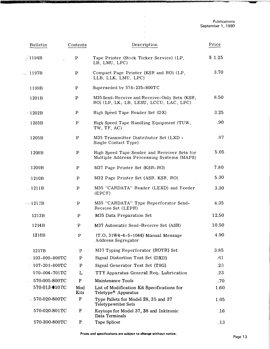| Bulletin              | Contents     | Description                                                                                | Price  |
|-----------------------|--------------|--------------------------------------------------------------------------------------------|--------|
| $\AA$ 1194B           | $\mathbf P$  | Tape Printer (Stock Ticker Service) (LP,<br>LB, LMU, LPC)                                  | \$1.25 |
| $-1197B$              | $\mathbf P$  | Compact Page Printer (KSR and RO) (LP,<br>LLB, LLK, LMU, LPC)                              | 3.70   |
| 1199B                 | P            | Superseded by 574-235-800TC                                                                |        |
| 1201B                 | $\mathbf P$  | M35 Send-Receive and Receive-Only Sets (KSR.<br>RO) (LP, LK, LB, LESU, LCCU, LAC, LPC)     | 8.50   |
| $\cdot$ 1202B         | $\mathbf P$  | High Speed Tape Reader Set (DX)                                                            | 3.25   |
| 1203B                 | $\mathbf P$  | High Speed Tape Handling Equipment (TUW,<br>TW, TF, AC)                                    | .90    |
| 1205B                 | $\mathbf{P}$ | M35 Transmitter Distributor Set (LXD -<br>Single Contact Type)                             | .87    |
| 1208B                 | $\mathbf P$  | High Speed Tape Sender and Receiver Sets for<br>Multiple Address Processing Systems (MAPS) | 5.05   |
| 1209B                 | $\mathbf P$  | M37 Page Printer Set (KSR-RO)                                                              | 7.80   |
| 1210B                 | $\mathbf P$  | M32 Page Printer Set (ASR, KSR, RO)                                                        | 5.30   |
| $-1211B$              | $\mathbf P$  | M35 "CARDATA" Reader (LEXD) and Feeder<br>(EPCF)                                           | 3.30   |
| $-1212B$              | $\mathbf P$  | M35 "CARDATA" Type Reperforator Send-<br>Receive Set (LEPR)                                | 4.35   |
| 1213B                 | P            | M35 Data Preparation Set                                                                   | 12.50  |
| 1214B                 | P            | M37 Automatic Send-Receive Set (ASR)                                                       | 10.50  |
| 1216B                 | $\mathbf P$  | (T.O. 31W4-4-5-1044) Manual Message<br>Address Segregator                                  | 4.90   |
| 1217B                 | P            | M37 Typing Reperforator (ROTR) Set                                                         | 3.85   |
| $-103 - 800 - 800$ TC | $\mathbf P$  | Signal Distortion Test Set (DXD)                                                           | .61    |
| $-107 - 201 - 800$ TC | $\mathbf P$  | Signal Generator Test Set (TSG)                                                            | .23    |
| 570-004-701TC         | L            | TTY Apparatus General Req. Lubrication                                                     | .23    |
| $-570-005-800$ TC     | $\mathbf{P}$ | Maintenance Tools                                                                          | .70    |
| 570-013-010 TC        | Mod<br>Kits  | List of Modification Kit Specifications for<br>Teletype® Apparatus                         | 1.60   |
| / 570-020-800TC       | ${\bf P}$    | Type Pallets for Model 28, 35 and 37<br><b>Teletypewriter Sets</b>                         | 1.05   |
| 570-020-801TC         | ${\bf P}$    | Keytops for Model 37, 38 and Inktronic<br>Data Terminals                                   | .16    |
| 570-300-800TC         | $\mathbf{P}$ | Tape Splicer                                                                               | .13    |

,;,'\-�;,.,,;�:�,0&,£.1'' '"'''!f'}P\> "f'ft' ,N,,�.'>')!i""'·· • ''%' 'ds ",v.%-"�2Y):i'"-'=·'•'-£\j(''0 ''"''s '( ·.>04(•�·'"-A "itt" d't'P1 w ,o(· <w '-ry�w� Z'i'F' "§'tV'"@' '£.\"V'Z''k'f):fzA ""> ?YT' ·.}ft.) ''W' }·'£• 'W·· )V •. •�p f'M"�'-r '�·,·& •'"¢" ,,.,.,,, ·•ct •"'"'-"':..v:�.·y• t "� \•'> '""·'·" "-'�.: ., ' • • • , ·• t\*t' ·"-iiCP'··•

 $\bar{\nu}$ 

古宝  $\ddot{\phantom{a}}$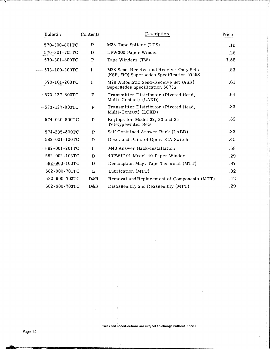| <b>Bulletin</b>       | Contents     | Description                                                                        | Price |
|-----------------------|--------------|------------------------------------------------------------------------------------|-------|
| 570-300-801TC         | P            | M28 Tape Splicer (LTS)                                                             | .19   |
| 570-301-705TC         | D            | LPW300 Paper Winder                                                                | .26   |
| 570-301-800TC         | $\mathbf{p}$ | Tape Winders (TW)                                                                  | 1.55  |
| $-$ 573-100-200TC     | I            | M28 Send-Receive and Receive-Only Sets<br>(KSR, RO) Supersedes Specification 5759S | .83   |
| 573-101-200TC         | I            | M28 Automatic Send-Receive Set (ASR)<br>Supersedes Specification 5873S             | .61   |
| $-573 - 127 - 800$ TC | $\, {\bf p}$ | Transmitter Distributor (Pivoted Head,<br>Multi-Contact) (LAXD)                    | .64   |
| $-573 - 127 - 803$ TC | $\mathbf{p}$ | Transmitter Distributor (Pivoted Head,<br>Multi-Contact) (LCXD)                    | .83   |
| 574-020-800TC         | P            | Keytops for Model 32, 33 and 35<br>Teletypewriter Sets                             | .32   |
| 574-235-800TC         | P            | Self Contained Answer Back (LABD)                                                  | .23   |
| 582-001-100TC         | D            | Desc. and Prin. of Oper. EIA Switch                                                | .45   |
| $-582 - 001 - 201$ TC | I            | M40 Answer Back-Installation                                                       | .58   |
| $582 - 002 - 103$ TC  | D            | 40PWU101 Model 40 Paper Winder                                                     | .29   |
| 582-900-100TC         | D            | Description Mag. Tape Terminal (MTT)                                               | .87   |
| 582-900-701TC         | L            | Lubrication (MTT)                                                                  | .32   |
| 582-900-702TC         | D&R          | Removal and Replacement of Components (MTT)                                        | .42   |
| 582-900-703TC         | D&R          | Disassembly and Reassembly (MTT)                                                   | .29   |

そうぞくしき ちゅうそうひつきんりゅうじょうしょう じょうしょうしょう

 $\bar{\mathcal{A}}$ 

たいこうさいえい

Prices and specifications are subject to change without notice.

 $\frac{1}{4}$ 

 $\frac{1}{4}$  ,  $\frac{1}{2}$ 

 $\mathcal{L}(\mathcal{L})$  is a space.

 $\hat{\psi}$